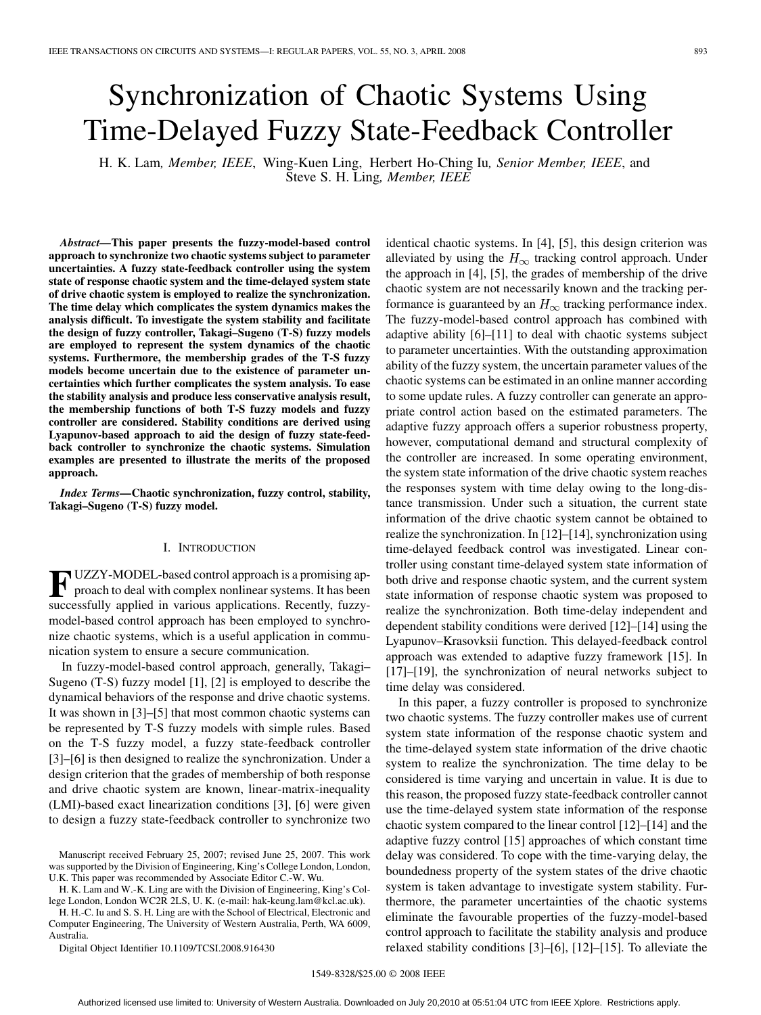# Synchronization of Chaotic Systems Using Time-Delayed Fuzzy State-Feedback Controller

H. K. Lam*, Member, IEEE*, Wing-Kuen Ling, Herbert Ho-Ching Iu*, Senior Member, IEEE*, and Steve S. H. Ling*, Member, IEEE*

*Abstract—***This paper presents the fuzzy-model-based control approach to synchronize two chaotic systems subject to parameter uncertainties. A fuzzy state-feedback controller using the system state of response chaotic system and the time-delayed system state of drive chaotic system is employed to realize the synchronization. The time delay which complicates the system dynamics makes the analysis difficult. To investigate the system stability and facilitate the design of fuzzy controller, Takagi–Sugeno (T-S) fuzzy models are employed to represent the system dynamics of the chaotic systems. Furthermore, the membership grades of the T-S fuzzy models become uncertain due to the existence of parameter uncertainties which further complicates the system analysis. To ease the stability analysis and produce less conservative analysis result, the membership functions of both T-S fuzzy models and fuzzy controller are considered. Stability conditions are derived using Lyapunov-based approach to aid the design of fuzzy state-feedback controller to synchronize the chaotic systems. Simulation examples are presented to illustrate the merits of the proposed approach.**

*Index Terms—***Chaotic synchronization, fuzzy control, stability, Takagi–Sugeno (T-S) fuzzy model.**

# I. INTRODUCTION

**F** UZZY-MODEL-based control approach is a promising approach to deal with complex nonlinear systems. It has been successfully applied in various applications. Recently, fuzzymodel-based control approach has been employed to synchronize chaotic systems, which is a useful application in communication system to ensure a secure communication.

In fuzzy-model-based control approach, generally, Takagi– Sugeno (T-S) fuzzy model [1], [2] is employed to describe the dynamical behaviors of the response and drive chaotic systems. It was shown in [3]–[5] that most common chaotic systems can be represented by T-S fuzzy models with simple rules. Based on the T-S fuzzy model, a fuzzy state-feedback controller [3]–[6] is then designed to realize the synchronization. Under a design criterion that the grades of membership of both response and drive chaotic system are known, linear-matrix-inequality (LMI)-based exact linearization conditions [3], [6] were given to design a fuzzy state-feedback controller to synchronize two

H. K. Lam and W.-K. Ling are with the Division of Engineering, King's College London, London WC2R 2LS, U. K. (e-mail: hak-keung.lam@kcl.ac.uk).

H. H.-C. Iu and S. S. H. Ling are with the School of Electrical, Electronic and Computer Engineering, The University of Western Australia, Perth, WA 6009, Australia.

Digital Object Identifier 10.1109/TCSI.2008.916430

identical chaotic systems. In [4], [5], this design criterion was alleviated by using the  $H_{\infty}$  tracking control approach. Under the approach in [4], [5], the grades of membership of the drive chaotic system are not necessarily known and the tracking performance is guaranteed by an  $H_{\infty}$  tracking performance index. The fuzzy-model-based control approach has combined with adaptive ability [6]–[11] to deal with chaotic systems subject to parameter uncertainties. With the outstanding approximation ability of the fuzzy system, the uncertain parameter values of the chaotic systems can be estimated in an online manner according to some update rules. A fuzzy controller can generate an appropriate control action based on the estimated parameters. The adaptive fuzzy approach offers a superior robustness property, however, computational demand and structural complexity of the controller are increased. In some operating environment, the system state information of the drive chaotic system reaches the responses system with time delay owing to the long-distance transmission. Under such a situation, the current state information of the drive chaotic system cannot be obtained to realize the synchronization. In [12]–[14], synchronization using time-delayed feedback control was investigated. Linear controller using constant time-delayed system state information of both drive and response chaotic system, and the current system state information of response chaotic system was proposed to realize the synchronization. Both time-delay independent and dependent stability conditions were derived [12]–[14] using the Lyapunov–Krasovksii function. This delayed-feedback control approach was extended to adaptive fuzzy framework [15]. In [17]–[19], the synchronization of neural networks subject to time delay was considered.

In this paper, a fuzzy controller is proposed to synchronize two chaotic systems. The fuzzy controller makes use of current system state information of the response chaotic system and the time-delayed system state information of the drive chaotic system to realize the synchronization. The time delay to be considered is time varying and uncertain in value. It is due to this reason, the proposed fuzzy state-feedback controller cannot use the time-delayed system state information of the response chaotic system compared to the linear control [12]–[14] and the adaptive fuzzy control [15] approaches of which constant time delay was considered. To cope with the time-varying delay, the boundedness property of the system states of the drive chaotic system is taken advantage to investigate system stability. Furthermore, the parameter uncertainties of the chaotic systems eliminate the favourable properties of the fuzzy-model-based control approach to facilitate the stability analysis and produce relaxed stability conditions [3]–[6], [12]–[15]. To alleviate the

Manuscript received February 25, 2007; revised June 25, 2007. This work was supported by the Division of Engineering, King's College London, London, U.K. This paper was recommended by Associate Editor C.-W. Wu.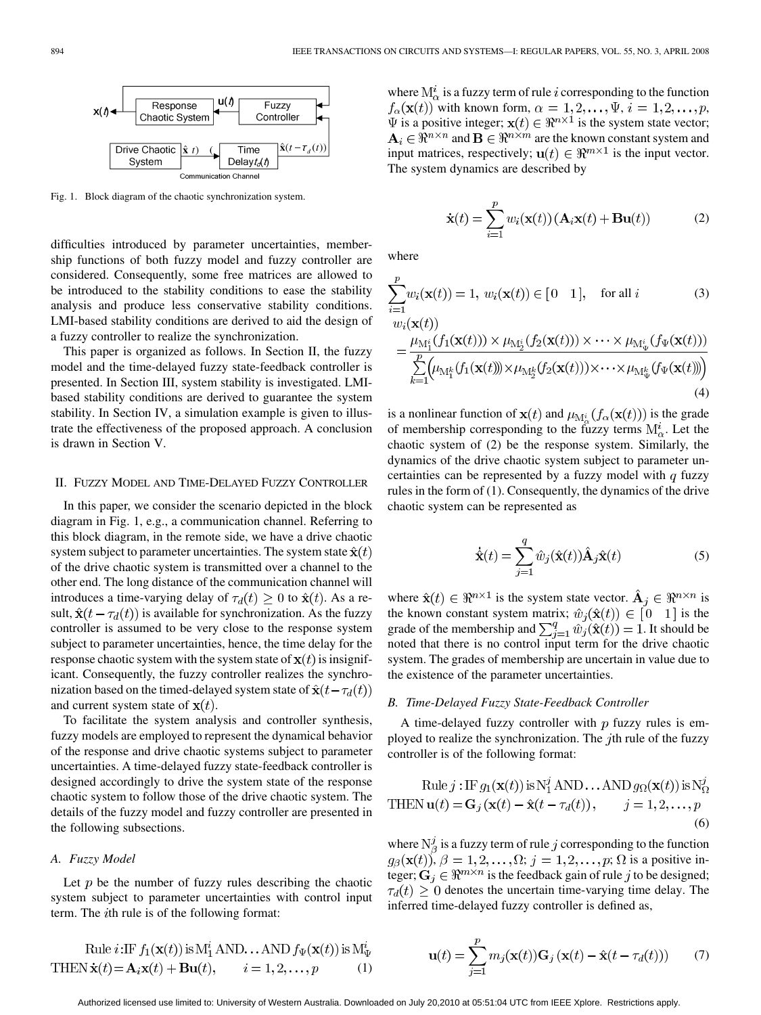

Fig. 1. Block diagram of the chaotic synchronization system.

difficulties introduced by parameter uncertainties, membership functions of both fuzzy model and fuzzy controller are considered. Consequently, some free matrices are allowed to be introduced to the stability conditions to ease the stability analysis and produce less conservative stability conditions. LMI-based stability conditions are derived to aid the design of a fuzzy controller to realize the synchronization.

This paper is organized as follows. In Section II, the fuzzy model and the time-delayed fuzzy state-feedback controller is presented. In Section III, system stability is investigated. LMIbased stability conditions are derived to guarantee the system stability. In Section IV, a simulation example is given to illustrate the effectiveness of the proposed approach. A conclusion is drawn in Section V.

#### II. FUZZY MODEL AND TIME-DELAYED FUZZY CONTROLLER

In this paper, we consider the scenario depicted in the block diagram in Fig. 1, e.g., a communication channel. Referring to this block diagram, in the remote side, we have a drive chaotic system subject to parameter uncertainties. The system state  $\hat{\mathbf{x}}(t)$ of the drive chaotic system is transmitted over a channel to the other end. The long distance of the communication channel will introduces a time-varying delay of  $\tau_d(t) \geq 0$  to  $\hat{\mathbf{x}}(t)$ . As a result,  $\hat{\mathbf{x}}(t - \tau_d(t))$  is available for synchronization. As the fuzzy controller is assumed to be very close to the response system subject to parameter uncertainties, hence, the time delay for the response chaotic system with the system state of  $x(t)$  is insignificant. Consequently, the fuzzy controller realizes the synchronization based on the timed-delayed system state of  $\hat{\mathbf{x}}(t-\tau_d(t))$ and current system state of  $x(t)$ .

To facilitate the system analysis and controller synthesis, fuzzy models are employed to represent the dynamical behavior of the response and drive chaotic systems subject to parameter uncertainties. A time-delayed fuzzy state-feedback controller is designed accordingly to drive the system state of the response chaotic system to follow those of the drive chaotic system. The details of the fuzzy model and fuzzy controller are presented in the following subsections.

## *A. Fuzzy Model*

Let  $p$  be the number of fuzzy rules describing the chaotic system subject to parameter uncertainties with control input term. The *i*th rule is of the following format:

Rule 
$$
i: \text{IF } f_1(\mathbf{x}(t))
$$
 is M<sub>1</sub><sup>\*</sup> AND... AND  $f_{\Psi}(\mathbf{x}(t))$  is M <sub>$\Psi$</sub>   
THEN  $\dot{\mathbf{x}}(t) = \mathbf{A}_i \mathbf{x}(t) + \mathbf{B} \mathbf{u}(t), \qquad i = 1, 2, ..., p$  (1)

where  $M^i_{\alpha}$  is a fuzzy term of rule *i* corresponding to the function  $f_{\alpha}(\mathbf{x}(t))$  with known form,  $\alpha = 1, 2, ..., \Psi$ ,  $i = 1, 2, ..., p$ ,  $\Psi$  is a positive integer;  $\mathbf{x}(t) \in \mathbb{R}^{n \times 1}$  is the system state vector;  $A_i \in \Re^{n \times n}$  and  $B \in \Re^{n \times m}$  are the known constant system and input matrices, respectively;  $\mathbf{u}(t) \in \mathbb{R}^{m \times 1}$  is the input vector. The system dynamics are described by

$$
\dot{\mathbf{x}}(t) = \sum_{i=1}^{p} w_i(\mathbf{x}(t)) \left( \mathbf{A}_i \mathbf{x}(t) + \mathbf{B} \mathbf{u}(t) \right) \tag{2}
$$

where

$$
\sum_{i=1}^{p} w_i(\mathbf{x}(t)) = 1, w_i(\mathbf{x}(t)) \in [0 \quad 1], \quad \text{for all } i \tag{3}
$$

$$
\begin{split} &w_i(\mathbf{x}(t))\\ &= \frac{\mu_{\mathrm{M}_1^i}(f_1(\mathbf{x}(t))) \times \mu_{\mathrm{M}_2^i}(f_2(\mathbf{x}(t))) \times \cdots \times \mu_{\mathrm{M}_\Psi^i}(f_\Psi(\mathbf{x}(t)))}{\sum\limits_{k=1}^p \left(\mu_{\mathrm{M}_1^k}(f_1(\mathbf{x}(t))) \times \mu_{\mathrm{M}_2^k}(f_2(\mathbf{x}(t))) \times \cdots \times \mu_{\mathrm{M}_\Psi^k}(f_\Psi(\mathbf{x}(t)))\right)}\end{split} \tag{4}
$$

is a nonlinear function of  $\mathbf{x}(t)$  and  $\mu_{\mathbf{M}_{\alpha}^{i}}(f_{\alpha}(\mathbf{x}(t)))$  is the grade of membership corresponding to the fuzzy terms  $M^i_\alpha$ . Let the chaotic system of (2) be the response system. Similarly, the dynamics of the drive chaotic system subject to parameter uncertainties can be represented by a fuzzy model with  $q$  fuzzy rules in the form of (1). Consequently, the dynamics of the drive chaotic system can be represented as

$$
\dot{\hat{\mathbf{x}}}(t) = \sum_{j=1}^{q} \hat{w}_j(\hat{\mathbf{x}}(t)) \hat{\mathbf{A}}_j \hat{\mathbf{x}}(t)
$$
 (5)

where  $\hat{\mathbf{x}}(t) \in \Re^{n \times 1}$  is the system state vector.  $\hat{\mathbf{A}}_j \in \Re^{n \times n}$  is the known constant system matrix;  $\hat{w}_i(\hat{\mathbf{x}}(t)) \in [0 \ 1]$  is the grade of the membership and  $\sum_{j=1}^{q} \hat{w}_j(\hat{\mathbf{x}}(t)) = 1$ . It should be noted that there is no control input term for the drive chaotic system. The grades of membership are uncertain in value due to the existence of the parameter uncertainties.

## *B. Time-Delayed Fuzzy State-Feedback Controller*

A time-delayed fuzzy controller with  $p$  fuzzy rules is employed to realize the synchronization. The  $j$ th rule of the fuzzy controller is of the following format:

Rule 
$$
j: \text{IF } g_1(\mathbf{x}(t))
$$
 is N<sub>1</sub><sup>7</sup> AND... AND  $g_{\Omega}(\mathbf{x}(t))$  is N<sub>2</sub><sup>7</sup>  
THEN  $\mathbf{u}(t) = \mathbf{G}_j(\mathbf{x}(t) - \hat{\mathbf{x}}(t - \tau_d(t)), \qquad j = 1, 2, ..., p$  (6)

where  $N^j_\beta$  is a fuzzy term of rule j corresponding to the function  $g_{\beta}(\mathbf{x}(t)), \beta = 1, 2, \dots, \Omega; j = 1, 2, \dots, p; \Omega$  is a positive integer;  $\mathbf{G}_j \in \mathbb{R}^{m \times n}$  is the feedback gain of rule j to be designed;  $\tau_d(t) \geq 0$  denotes the uncertain time-varying time delay. The inferred time-delayed fuzzy controller is defined as,

$$
\mathbf{u}(t) = \sum_{j=1}^{p} m_j(\mathbf{x}(t)) \mathbf{G}_j (\mathbf{x}(t) - \hat{\mathbf{x}}(t - \tau_d(t))) \tag{7}
$$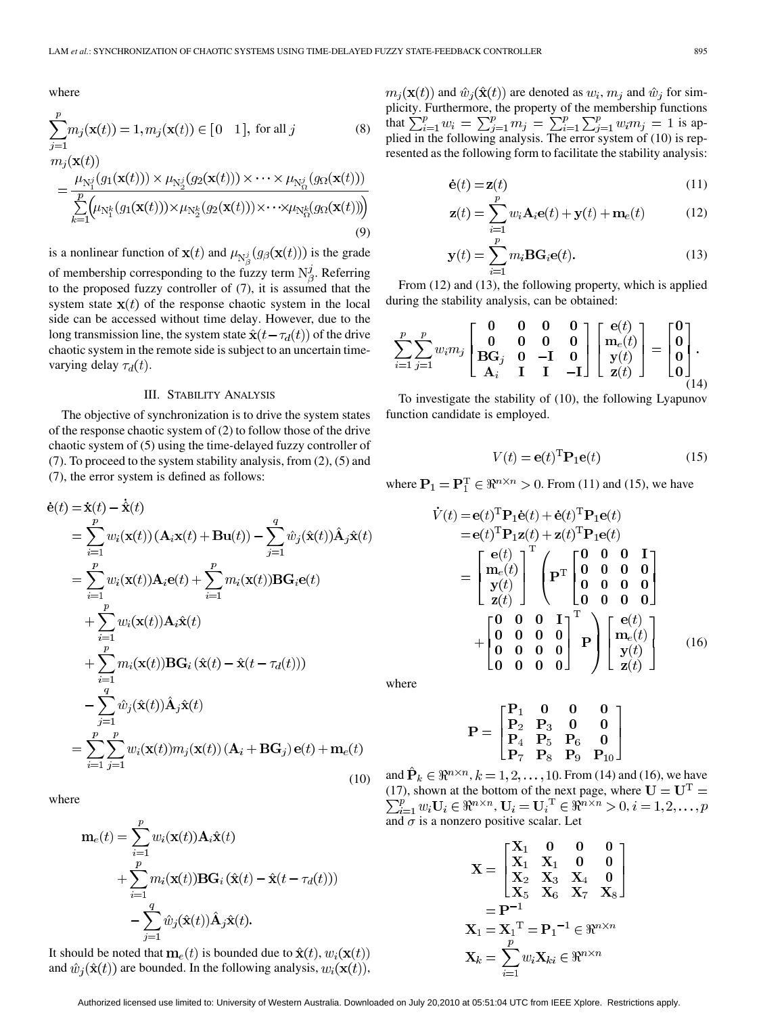where

$$
\sum_{j=1}^{p} m_j(\mathbf{x}(t)) = 1, m_j(\mathbf{x}(t)) \in [0 \quad 1], \text{ for all } j
$$
\n
$$
m_j(\mathbf{x}(t))
$$
\n(8)

$$
= \frac{\mu_{\mathrm{N}_1^j}(g_1(\mathbf{x}(t))) \times \mu_{\mathrm{N}_2^j}(g_2(\mathbf{x}(t))) \times \cdots \times \mu_{\mathrm{N}_\mathrm{N}_\mathrm{N}^j}(g_\Omega(\mathbf{x}(t)))}{\sum_{k=1}^p \left(\mu_{\mathrm{N}_1^k}(g_1(\mathbf{x}(t))) \times \mu_{\mathrm{N}_2^k}(g_2(\mathbf{x}(t))) \times \cdots \times \mu_{\mathrm{N}_\mathrm{N}^k}(g_\Omega(\mathbf{x}(t)))\right)}
$$
\n(9)

is a nonlinear function of  $\mathbf{x}(t)$  and  $\mu_{\mathbf{N}_{\alpha}^{j}}(g_{\beta}(\mathbf{x}(t)))$  is the grade of membership corresponding to the fuzzy term  $N^j_\beta$ . Referring to the proposed fuzzy controller of (7), it is assumed that the system state  $x(t)$  of the response chaotic system in the local side can be accessed without time delay. However, due to the long transmission line, the system state  $\hat{\mathbf{x}}(t - \tau_d(t))$  of the drive chaotic system in the remote side is subject to an uncertain timevarying delay  $\tau_d(t)$ .

#### III. STABILITY ANALYSIS

The objective of synchronization is to drive the system states of the response chaotic system of (2) to follow those of the drive chaotic system of (5) using the time-delayed fuzzy controller of (7). To proceed to the system stability analysis, from (2), (5) and (7), the error system is defined as follows:

$$
\dot{\mathbf{e}}(t) = \dot{\mathbf{x}}(t) - \dot{\hat{\mathbf{x}}}(t)
$$
\n
$$
= \sum_{i=1}^{p} w_i(\mathbf{x}(t)) (\mathbf{A}_i \mathbf{x}(t) + \mathbf{B} \mathbf{u}(t)) - \sum_{j=1}^{q} \hat{w}_j(\hat{\mathbf{x}}(t)) \hat{\mathbf{A}}_j \hat{\mathbf{x}}(t)
$$
\n
$$
= \sum_{i=1}^{p} w_i(\mathbf{x}(t)) \mathbf{A}_i \mathbf{e}(t) + \sum_{i=1}^{p} m_i(\mathbf{x}(t)) \mathbf{B} \mathbf{G}_i \mathbf{e}(t)
$$
\n
$$
+ \sum_{i=1}^{p} w_i(\mathbf{x}(t)) \mathbf{A}_i \hat{\mathbf{x}}(t)
$$
\n
$$
+ \sum_{i=1}^{p} m_i(\mathbf{x}(t)) \mathbf{B} \mathbf{G}_i (\hat{\mathbf{x}}(t) - \hat{\mathbf{x}}(t - \tau_d(t)))
$$
\n
$$
- \sum_{j=1}^{q} \hat{w}_j(\hat{\mathbf{x}}(t)) \hat{\mathbf{A}}_j \hat{\mathbf{x}}(t)
$$
\n
$$
= \sum_{i=1}^{p} \sum_{j=1}^{p} w_i(\mathbf{x}(t)) m_j(\mathbf{x}(t)) (\mathbf{A}_i + \mathbf{B} \mathbf{G}_j) \mathbf{e}(t) + \mathbf{m}_e(t)
$$
\n(10)

where

$$
\mathbf{m}_e(t) = \sum_{i=1}^p w_i(\mathbf{x}(t)) \mathbf{A}_i \hat{\mathbf{x}}(t)
$$
  
+ 
$$
\sum_{i=1}^p m_i(\mathbf{x}(t)) \mathbf{B} \mathbf{G}_i (\hat{\mathbf{x}}(t) - \hat{\mathbf{x}}(t - \tau_d(t)))
$$
  
- 
$$
\sum_{i=1}^q \hat{w}_j(\hat{\mathbf{x}}(t)) \hat{\mathbf{A}}_j \hat{\mathbf{x}}(t).
$$

It should be noted that  $\mathbf{m}_e(t)$  is bounded due to  $\hat{\mathbf{x}}(t), w_i(\mathbf{x}(t))$ and  $\hat{w}_j(\hat{\mathbf{x}}(t))$  are bounded. In the following analysis,  $w_i(\mathbf{x}(t))$ ,  $m_j(\mathbf{x}(t))$  and  $\hat{w}_j(\hat{\mathbf{x}}(t))$  are denoted as  $w_i$ ,  $m_j$  and  $\hat{w}_j$  for simplicity. Furthermore, the property of the membership functions that  $\sum_{i=1}^{p} w_i = \sum_{i=1}^{p} m_i = \sum_{i=1}^{p} \sum_{i=1}^{p} w_i m_i = 1$  is applied in the following analysis. The error system of (10) is represented as the following form to facilitate the stability analysis:

$$
\dot{\mathbf{e}}(t) = \mathbf{z}(t) \tag{11}
$$

$$
\mathbf{z}(t) = \sum_{i=1} w_i \mathbf{A}_i \mathbf{e}(t) + \mathbf{y}(t) + \mathbf{m}_e(t)
$$
 (12)

$$
\mathbf{y}(t) = \sum_{i=1}^{p} m_i \mathbf{B} \mathbf{G}_i \mathbf{e}(t).
$$
 (13)

From (12) and (13), the following property, which is applied during the stability analysis, can be obtained:

$$
\sum_{i=1}^{p} \sum_{j=1}^{p} w_i m_j \begin{bmatrix} 0 & 0 & 0 & 0 \\ 0 & 0 & 0 & 0 \\ \mathbf{B} \mathbf{G}_j & 0 & -\mathbf{I} & 0 \\ \mathbf{A}_i & \mathbf{I} & \mathbf{I} & -\mathbf{I} \end{bmatrix} \begin{bmatrix} \mathbf{e}(t) \\ \mathbf{m}_e(t) \\ \mathbf{y}(t) \\ \mathbf{z}(t) \end{bmatrix} = \begin{bmatrix} 0 \\ 0 \\ 0 \\ 0 \end{bmatrix}.
$$

To investigate the stability of (10), the following Lyapunov function candidate is employed.

$$
V(t) = \mathbf{e}(t)^{\mathrm{T}} \mathbf{P}_1 \mathbf{e}(t)
$$
 (15)

where  $P_1 = P_1^T \in \mathbb{R}^{n \times n} > 0$ . From (11) and (15), we have

$$
\dot{V}(t) = e(t)^{\mathrm{T}} \mathbf{P}_{1} \dot{\mathbf{e}}(t) + \dot{\mathbf{e}}(t)^{\mathrm{T}} \mathbf{P}_{1} \mathbf{e}(t) \n= e(t)^{\mathrm{T}} \mathbf{P}_{1} \mathbf{z}(t) + \mathbf{z}(t)^{\mathrm{T}} \mathbf{P}_{1} \mathbf{e}(t) \n= \begin{bmatrix} e(t) \\ \mathbf{m}_{e}(t) \\ \mathbf{y}(t) \\ \mathbf{z}(t) \end{bmatrix}^{\mathrm{T}} \begin{pmatrix} 0 & 0 & 0 & \mathbf{I} \\ \mathbf{0} & 0 & 0 & 0 \\ 0 & 0 & 0 & 0 \\ 0 & 0 & 0 & 0 \end{pmatrix} \n+ \begin{bmatrix} 0 & 0 & 0 & \mathbf{I} \\ 0 & 0 & 0 & 0 \\ 0 & 0 & 0 & 0 \\ 0 & 0 & 0 & 0 \end{bmatrix}^{\mathrm{T}} \mathbf{P} \begin{bmatrix} e(t) \\ \mathbf{m}_{e}(t) \\ \mathbf{y}(t) \\ \mathbf{z}(t) \end{bmatrix}
$$
\n(16)

where

$$
\mathbf{P} = \begin{bmatrix} \mathbf{P}_1 & \mathbf{0} & \mathbf{0} & \mathbf{0} \\ \mathbf{P}_2 & \mathbf{P}_3 & \mathbf{0} & \mathbf{0} \\ \mathbf{P}_4 & \mathbf{P}_5 & \mathbf{P}_6 & \mathbf{0} \\ \mathbf{P}_7 & \mathbf{P}_8 & \mathbf{P}_9 & \mathbf{P}_{10} \end{bmatrix}
$$

(10) and  $\mathbf{P}_k \in \mathbb{R}^{n \times n}$ ,  $k = 1, 2, ..., 10$ . From (14) and (16), we have (17), shown at the bottom of the next page, where ,  $\mathbf{U}_i = \mathbf{U}_i^{\mathrm{T}} \in \Re^{n \times n} > 0$ , and  $\sigma$  is a nonzero positive scalar. Let

$$
\mathbf{X} = \begin{bmatrix} \mathbf{X}_1 & \mathbf{0} & \mathbf{0} & \mathbf{0} \\ \mathbf{X}_1 & \mathbf{X}_1 & \mathbf{0} & \mathbf{0} \\ \mathbf{X}_2 & \mathbf{X}_3 & \mathbf{X}_4 & \mathbf{0} \\ \mathbf{X}_5 & \mathbf{X}_6 & \mathbf{X}_7 & \mathbf{X}_8 \end{bmatrix}
$$
\n
$$
= \mathbf{P}^{-1}
$$
\n
$$
\mathbf{X}_1 = \mathbf{X}_1^{\mathrm{T}} = \mathbf{P}_1^{-1} \in \mathbb{R}^{n \times n}
$$
\n
$$
\mathbf{X}_k = \sum_{i=1}^p w_i \mathbf{X}_{ki} \in \mathbb{R}^{n \times n}
$$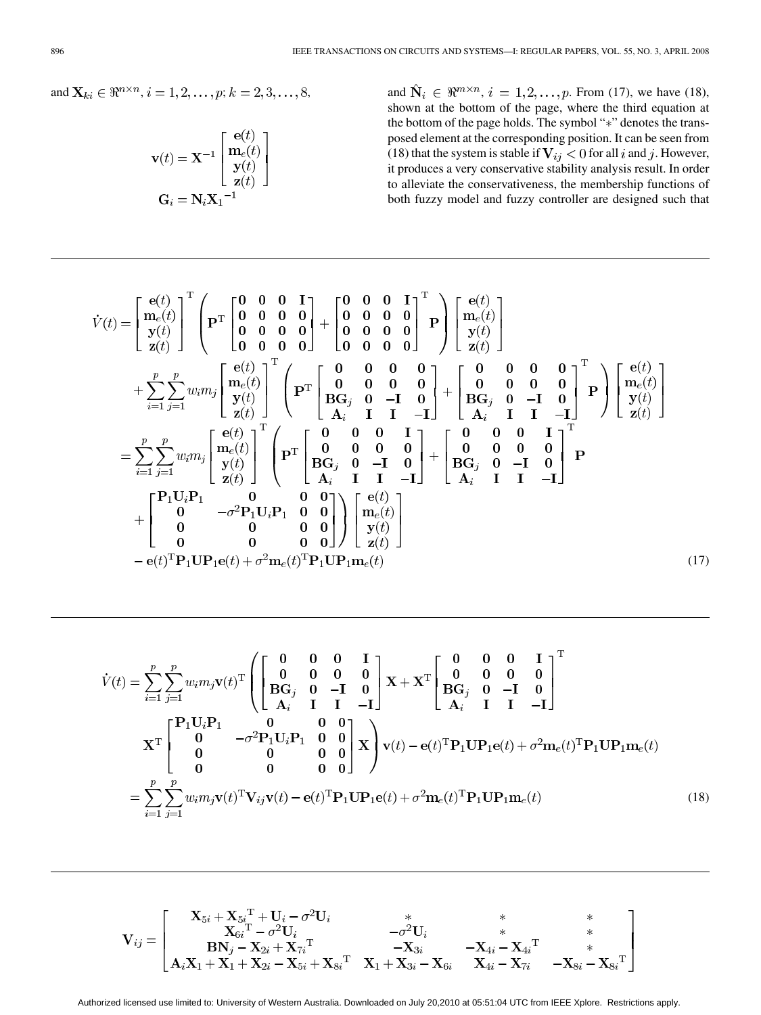and 
$$
\mathbf{X}_{ki} \in \mathbb{R}^{n \times n}
$$
,  $i = 1, 2, ..., p$ ;  $k = 2, 3, ..., 8$ 

$$
\mathbf{v}(t) = \mathbf{X}^{-1} \begin{bmatrix} \mathbf{e}(t) \\ \mathbf{m}_e(t) \\ \mathbf{y}(t) \\ \mathbf{z}(t) \end{bmatrix}
$$

$$
\mathbf{G}_i = \mathbf{N}_i \mathbf{X}_1^{-1}
$$

3, and  $\hat{N}_i \in \Re^{m \times n}, i = 1, 2, ..., p$ . From (17), we have (18), shown at the bottom of the page, where the third equation at the bottom of the page holds. The symbol "\*" denotes the transposed element at the corresponding position. It can be seen from (18) that the system is stable if  $V_{ij} < 0$  for all i and j. However, it produces a very conservative stability analysis result. In order to alleviate the conservativeness, the membership functions of both fuzzy model and fuzzy controller are designed such that

$$
\dot{V}(t) = \begin{bmatrix} \mathbf{e}(t) \\ \mathbf{y}(t) \\ \mathbf{y}(t) \\ \mathbf{z}(t) \end{bmatrix}^{\mathrm{T}} \begin{bmatrix} \mathbf{p}^{\mathrm{T}} \\ \mathbf{p}^{\mathrm{T}} \\ \mathbf{0} & \mathbf{0} & \mathbf{0} & \mathbf{0} \\ \mathbf{0} & \mathbf{0} & \mathbf{0} & \mathbf{0} \\ \mathbf{0} & \mathbf{0} & \mathbf{0} & \mathbf{0} \end{bmatrix} + \begin{bmatrix} \mathbf{0} & \mathbf{0} & \mathbf{0} & \mathbf{I} \\ \mathbf{0} & \mathbf{0} & \mathbf{0} & \mathbf{0} \\ \mathbf{0} & \mathbf{0} & \mathbf{0} & \mathbf{0} \end{bmatrix}^{\mathrm{T}} \begin{bmatrix} \mathbf{e}(t) \\ \mathbf{0} & \mathbf{0} & \mathbf{0} \\ \mathbf{0} & \mathbf{0} & \mathbf{0} & \mathbf{0} \\ \mathbf{0} & \mathbf{0} & \mathbf{0} & \mathbf{0} \end{bmatrix}^{\mathrm{T}} \\ + \sum_{i=1}^{p} \sum_{j=1}^{p} w_{i} m_{j} \begin{bmatrix} \mathbf{e}(t) \\ \mathbf{y}(t) \\ \mathbf{z}(t) \end{bmatrix}^{\mathrm{T}} \begin{bmatrix} \mathbf{p}^{\mathrm{T}} \\ \mathbf{p}^{\mathrm{T}} \\ \mathbf{B} \mathbf{G}_{j} & \mathbf{0} & -\mathbf{I} & \mathbf{0} \\ \mathbf{B} & \mathbf{G}_{j} & \mathbf{0} & -\mathbf{I} & \mathbf{0} \\ \mathbf{B} & \mathbf{G}_{j} & \mathbf{0} & -\mathbf{I} & \mathbf{0} \\ \mathbf{B} & \mathbf{G}_{j} & \mathbf{0} & -\mathbf{I} & \mathbf{0} \\ \mathbf{B} & \mathbf{G}_{j} & \mathbf{0} & -\mathbf{I} & \mathbf{0} \end{bmatrix}^{\mathrm{T}} \begin{bmatrix} \mathbf{e}(t) \\ \mathbf{y}(t) \\ \mathbf{z}(t) \end{bmatrix} \\ = \sum_{i=1}^{p} \sum_{j=1}^{p} w_{i} m_{j} \begin{bmatrix} \math
$$

$$
\dot{V}(t) = \sum_{i=1}^{p} \sum_{j=1}^{p} w_i m_j \mathbf{v}(t)^{\mathrm{T}} \left( \begin{bmatrix} 0 & 0 & 0 & 1 \\ 0 & 0 & 0 & 0 \\ B G_j & 0 & -\mathbf{I} & 0 \\ A_i & \mathbf{I} & \mathbf{I} & -\mathbf{I} \end{bmatrix} \mathbf{X} + \mathbf{X}^{\mathrm{T}} \begin{bmatrix} 0 & 0 & 0 & \mathbf{I} \\ 0 & 0 & 0 & 0 \\ B G_j & 0 & -\mathbf{I} & 0 \\ A_i & \mathbf{I} & \mathbf{I} & -\mathbf{I} \end{bmatrix} \right)^{\mathrm{T}}
$$
\n
$$
\mathbf{X}^{\mathrm{T}} \begin{bmatrix} \mathbf{P}_1 \mathbf{U}_i \mathbf{P}_1 & 0 & 0 & 0 \\ 0 & -\sigma^2 \mathbf{P}_1 \mathbf{U}_i \mathbf{P}_1 & 0 & 0 \\ 0 & 0 & 0 & 0 \\ 0 & 0 & 0 & 0 \end{bmatrix} \mathbf{X} \right) \mathbf{v}(t) - \mathbf{e}(t)^{\mathrm{T}} \mathbf{P}_1 \mathbf{U} \mathbf{P}_1 \mathbf{e}(t) + \sigma^2 \mathbf{m}_e(t)^{\mathrm{T}} \mathbf{P}_1 \mathbf{U} \mathbf{P}_1 \mathbf{m}_e(t)
$$
\n
$$
= \sum_{i=1}^{p} \sum_{j=1}^{p} w_i m_j \mathbf{v}(t)^{\mathrm{T}} \mathbf{V}_{ij} \mathbf{v}(t) - \mathbf{e}(t)^{\mathrm{T}} \mathbf{P}_1 \mathbf{U} \mathbf{P}_1 \mathbf{e}(t) + \sigma^2 \mathbf{m}_e(t)^{\mathrm{T}} \mathbf{P}_1 \mathbf{U} \mathbf{P}_1 \mathbf{m}_e(t) \qquad (18)
$$

$$
\mathbf{V}_{ij} = \left[ \begin{matrix} \mathbf{X}_{5i} + \mathbf{X}_{5i}{}^{\text{T}} + \mathbf{U}_{i} - \sigma^{2} \mathbf{U}_{i} & * & * & * \\ \mathbf{X}_{6i}{}^{\text{T}} - \sigma^{2} \mathbf{U}_{i} & * & * & * \\ \mathbf{B} \mathbf{N}_{j} - \mathbf{X}_{2i} + \mathbf{X}_{7i}{}^{\text{T}} & -\mathbf{X}_{3i} & -\mathbf{X}_{4i} - \mathbf{X}_{4i}{}^{\text{T}} & * \\ \mathbf{A}_{i} \mathbf{X}_{1} + \mathbf{X}_{1} + \mathbf{X}_{2i} - \mathbf{X}_{5i} + \mathbf{X}_{8i}{}^{\text{T}} & \mathbf{X}_{1} + \mathbf{X}_{3i} - \mathbf{X}_{6i} & \mathbf{X}_{4i} - \mathbf{X}_{7i} & -\mathbf{X}_{8i} - \mathbf{X}_{8i}{}^{\text{T}} \end{matrix} \right]
$$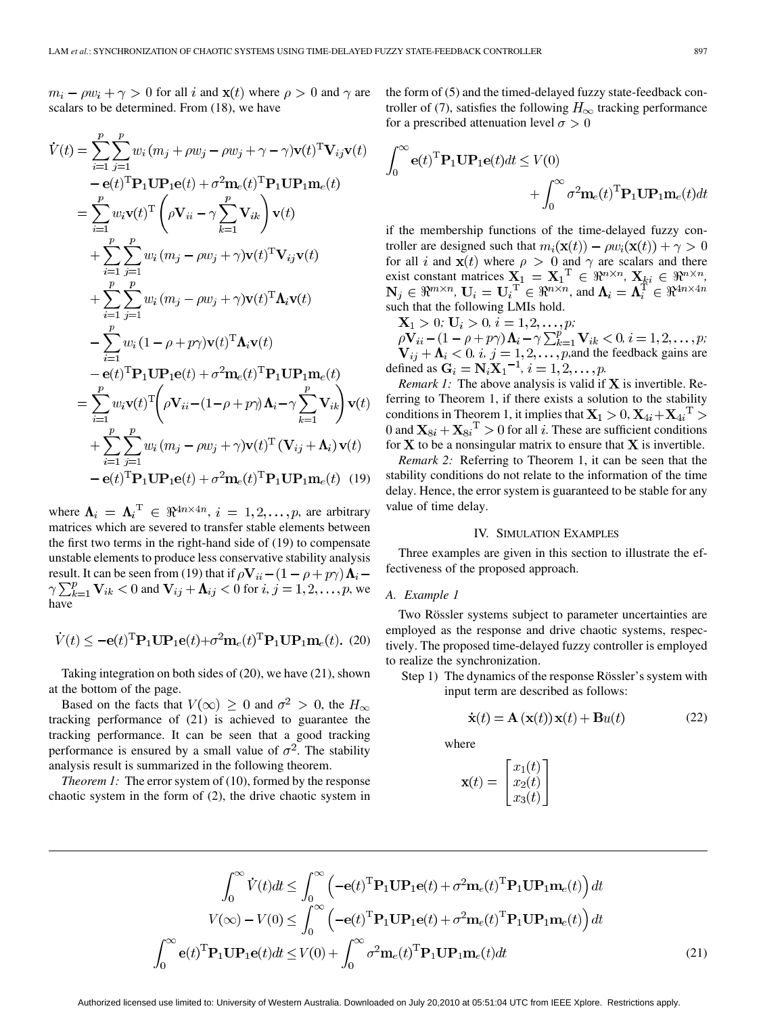$m_i - \rho w_i + \gamma > 0$  for all i and  $\mathbf{x}(t)$  where  $\rho > 0$  and  $\gamma$  are scalars to be determined. From (18), we have

$$
\dot{V}(t) = \sum_{i=1}^{p} \sum_{j=1}^{p} w_i (m_j + \rho w_j - \rho w_j + \gamma - \gamma) \mathbf{v}(t)^T \mathbf{V}_{ij} \mathbf{v}(t)
$$
\n
$$
- \mathbf{e}(t)^T \mathbf{P}_1 \mathbf{U} \mathbf{P}_1 \mathbf{e}(t) + \sigma^2 \mathbf{m}_e(t)^T \mathbf{P}_1 \mathbf{U} \mathbf{P}_1 \mathbf{m}_e(t)
$$
\n
$$
= \sum_{i=1}^{p} w_i \mathbf{v}(t)^T \left( \rho \mathbf{V}_{ii} - \gamma \sum_{k=1}^{p} \mathbf{V}_{ik} \right) \mathbf{v}(t)
$$
\n
$$
+ \sum_{i=1}^{p} \sum_{j=1}^{p} w_i (m_j - \rho w_j + \gamma) \mathbf{v}(t)^T \mathbf{V}_{ij} \mathbf{v}(t)
$$
\n
$$
+ \sum_{i=1}^{p} \sum_{j=1}^{p} w_i (m_j - \rho w_j + \gamma) \mathbf{v}(t)^T \mathbf{\Lambda}_i \mathbf{v}(t)
$$
\n
$$
- \sum_{i=1}^{p} w_i (1 - \rho + \rho \gamma) \mathbf{v}(t)^T \mathbf{\Lambda}_i \mathbf{v}(t)
$$
\n
$$
- \mathbf{e}(t)^T \mathbf{P}_1 \mathbf{U} \mathbf{P}_1 \mathbf{e}(t) + \sigma^2 \mathbf{m}_e(t)^T \mathbf{P}_1 \mathbf{U} \mathbf{P}_1 \mathbf{m}_e(t)
$$
\n
$$
= \sum_{i=1}^{p} w_i \mathbf{v}(t)^T \left( \rho \mathbf{V}_{ii} - (1 - \rho + \rho \gamma) \mathbf{\Lambda}_i - \gamma \sum_{k=1}^{p} \mathbf{V}_{ik} \right) \mathbf{v}(t)
$$
\n
$$
+ \sum_{i=1}^{p} \sum_{j=1}^{p} w_i (m_j - \rho w_j + \gamma) \mathbf{v}(t)^T (\mathbf{V}_{ij} + \mathbf{\Lambda}_i) \mathbf{v}(t)
$$
\n
$$
- \mathbf{e}(t)^T \mathbf{P}_1 \mathbf{U} \mathbf{P}_1 \mathbf{e}(t) + \sigma^2 \mathbf{m}_e(t
$$

where  $\Lambda_i = \Lambda_i^T \in \Re^{4n \times 4n}, i = 1, 2, ..., p$ , are arbitrary matrices which are severed to transfer stable elements between the first two terms in the right-hand side of (19) to compensate unstable elements to produce less conservative stability analysis result. It can be seen from (19) that if  $\rho \mathbf{V}_{ii} - (1 - \rho + p\gamma) \mathbf{\Lambda}_i$  –  $\gamma \sum_{k=1}^{p} \mathbf{V}_{ik} < 0$  and  $\mathbf{V}_{ij} + \mathbf{\Lambda}_{ij} < 0$  for  $i, j = 1, 2, ..., p$ , we have

$$
\dot{V}(t) \le -\mathbf{e}(t)^{\mathrm{T}} \mathbf{P}_1 \mathbf{U} \mathbf{P}_1 \mathbf{e}(t) + \sigma^2 \mathbf{m}_e(t)^{\mathrm{T}} \mathbf{P}_1 \mathbf{U} \mathbf{P}_1 \mathbf{m}_e(t). (20)
$$

Taking integration on both sides of (20), we have (21), shown at the bottom of the page.

Based on the facts that  $V(\infty) \geq 0$  and  $\sigma^2 > 0$ , the  $H_{\infty}$ tracking performance of (21) is achieved to guarantee the tracking performance. It can be seen that a good tracking performance is ensured by a small value of  $\sigma^2$ . The stability analysis result is summarized in the following theorem.

*Theorem 1:* The error system of (10), formed by the response chaotic system in the form of (2), the drive chaotic system in the form of (5) and the timed-delayed fuzzy state-feedback controller of (7), satisfies the following  $H_{\infty}$  tracking performance for a prescribed attenuation level  $\sigma > 0$ 

$$
\int_0^\infty \mathbf{e}(t)^{\mathrm{T}} \mathbf{P}_1 \mathbf{U} \mathbf{P}_1 \mathbf{e}(t) dt \le V(0) + \int_0^\infty \sigma^2 \mathbf{m}_e(t)^{\mathrm{T}} \mathbf{P}_1 \mathbf{U} \mathbf{P}_1 \mathbf{m}_e(t) dt
$$

if the membership functions of the time-delayed fuzzy controller are designed such that  $m_i(\mathbf{x}(t)) - \rho w_i(\mathbf{x}(t)) + \gamma > 0$ for all i and  $x(t)$  where  $\rho > 0$  and  $\gamma$  are scalars and there exist constant matrices  $X_1 = X_1^{\mathrm{T}} \in \Re^{n \times n}$ ,  $X_{ki} \in \Re^{n \times n}$ , ,  $\mathbf{U}_i = \mathbf{U}_i^{\mathrm{T}} \in \Re^{n \times n}$ , and such that the following LMIs hold.

 $; U_i > 0, i = 1, 2, \ldots, p;$ 

 $i = 1, 2, \ldots, p;$ *, i,*  $j = 1, 2, \ldots, p$ *, and the feedback gains are* defined as  $G_i = N_i X_1^{-1}, i = 1, 2, ..., p$ .

*Remark 1:* The above analysis is valid if  $X$  is invertible. Referring to Theorem 1, if there exists a solution to the stability conditions in Theorem 1, it implies that  $X_1 > 0$ ,  $X_{4i} + X_{4i}$ <sup>T</sup> > 0 and  $\mathbf{X}_{8i} + \mathbf{X}_{8i}^T > 0$  for all *i*. These are sufficient conditions for  $X$  to be a nonsingular matrix to ensure that  $X$  is invertible.

*Remark 2:* Referring to Theorem 1, it can be seen that the stability conditions do not relate to the information of the time delay. Hence, the error system is guaranteed to be stable for any value of time delay.

# IV. SIMULATION EXAMPLES

Three examples are given in this section to illustrate the effectiveness of the proposed approach.

## *A. Example 1*

 $\sim$ 

Two Rössler systems subject to parameter uncertainties are employed as the response and drive chaotic systems, respectively. The proposed time-delayed fuzzy controller is employed to realize the synchronization.

Step 1) The dynamics of the response Rössler's system with input term are described as follows:

$$
\dot{\mathbf{x}}(t) = \mathbf{A}\left(\mathbf{x}(t)\right)\mathbf{x}(t) + \mathbf{B}u(t) \tag{22}
$$

where

$$
\mathbf{x}(t) = \begin{bmatrix} x_1(t) \\ x_2(t) \\ x_3(t) \end{bmatrix}
$$

$$
\int_0^\infty \dot{V}(t)dt \leq \int_0^\infty \left( -\mathbf{e}(t)^{\mathrm{T}} \mathbf{P}_1 \mathbf{U} \mathbf{P}_1 \mathbf{e}(t) + \sigma^2 \mathbf{m}_e(t)^{\mathrm{T}} \mathbf{P}_1 \mathbf{U} \mathbf{P}_1 \mathbf{m}_e(t) \right) dt
$$

$$
V(\infty) - V(0) \leq \int_0^\infty \left( -\mathbf{e}(t)^{\mathrm{T}} \mathbf{P}_1 \mathbf{U} \mathbf{P}_1 \mathbf{e}(t) + \sigma^2 \mathbf{m}_e(t)^{\mathrm{T}} \mathbf{P}_1 \mathbf{U} \mathbf{P}_1 \mathbf{m}_e(t) \right) dt
$$

$$
\int_0^\infty \mathbf{e}(t)^{\mathrm{T}} \mathbf{P}_1 \mathbf{U} \mathbf{P}_1 \mathbf{e}(t) dt \leq V(0) + \int_0^\infty \sigma^2 \mathbf{m}_e(t)^{\mathrm{T}} \mathbf{P}_1 \mathbf{U} \mathbf{P}_1 \mathbf{m}_e(t) dt
$$
(21)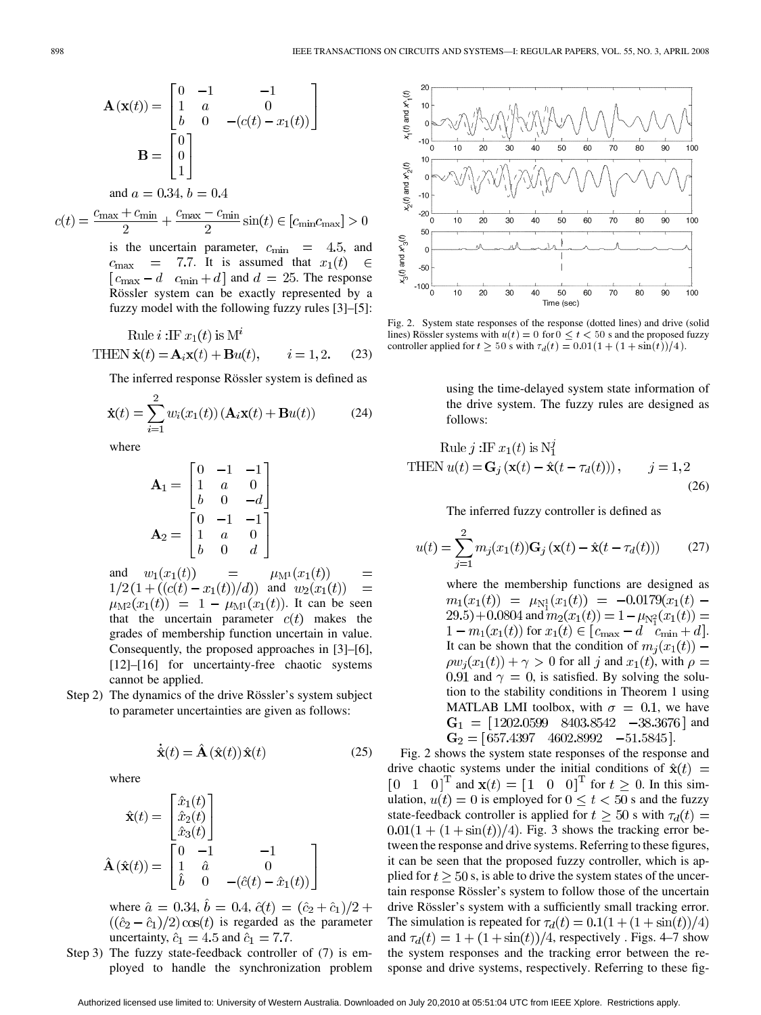$$
\mathbf{A}(\mathbf{x}(t)) = \begin{bmatrix} 0 & -1 & -1 \\ 1 & a & 0 \\ b & 0 & -(c(t) - x_1(t)) \end{bmatrix}
$$

$$
\mathbf{B} = \begin{bmatrix} 0 \\ 0 \\ 1 \end{bmatrix}
$$

and 
$$
a = 0.34, b = 0.4
$$

 $c(t) = \frac{c_{\max} + c_{\min}}{2} + \frac{c_{\max} - c_{\min}}{2} \sin(t) \in [c_{\min} c_{\max}] > 0$ 

is the uncertain parameter,  $c_{\text{min}} = 4.5$ , and  $c_{\text{max}}$  = 7.7. It is assumed that  $x_1(t)$  $\in$  $[c_{\text{max}} - d \quad c_{\text{min}} + d]$  and  $d = 25$ . The response Rössler system can be exactly represented by a fuzzy model with the following fuzzy rules [3]–[5]:

Rule 
$$
i
$$
:IF  $x_1(t)$  is M<sup>*t*</sup>  
THEN  $\dot{\mathbf{x}}(t) = \mathbf{A}_i \mathbf{x}(t) + \mathbf{B}u(t)$ ,  $i = 1, 2$ . (23)

The inferred response Rössler system is defined as

$$
\dot{\mathbf{x}}(t) = \sum_{i=1}^{2} w_i(x_1(t)) \left( \mathbf{A}_i \mathbf{x}(t) + \mathbf{B} u(t) \right) \tag{24}
$$

where

$$
\mathbf{A}_1 = \begin{bmatrix} 0 & -1 & -1 \\ 1 & a & 0 \\ b & 0 & -d \end{bmatrix}
$$

$$
\mathbf{A}_2 = \begin{bmatrix} 0 & -1 & -1 \\ 1 & a & 0 \\ b & 0 & d \end{bmatrix}
$$

 $w_1(x_1(t))$ and  $=$  $\mu_{\rm M^{1}}(x_{1}(t))$  $=$  $1/2(1+((c(t)-x_1(t))/d))$  and  $w_2(x_1(t))$  $=$  $\mu_{\mathbf{M}^2}(x_1(t)) = 1 - \mu_{\mathbf{M}^1}(x_1(t))$ . It can be seen that the uncertain parameter  $c(t)$  makes the grades of membership function uncertain in value. Consequently, the proposed approaches in [3]–[6], [12]–[16] for uncertainty-free chaotic systems cannot be applied.

Step 2) The dynamics of the drive Rössler's system subject to parameter uncertainties are given as follows:

$$
\dot{\hat{\mathbf{x}}}(t) = \hat{\mathbf{A}}\left(\hat{\mathbf{x}}(t)\right)\hat{\mathbf{x}}(t) \tag{25}
$$

where

$$
\hat{\mathbf{x}}(t) = \begin{bmatrix} \hat{x}_1(t) \\ \hat{x}_2(t) \\ \hat{x}_3(t) \end{bmatrix}
$$

$$
\hat{\mathbf{A}}(\hat{\mathbf{x}}(t)) = \begin{bmatrix} 0 & -1 & -1 \\ 1 & \hat{a} & 0 \\ \hat{b} & 0 & -(\hat{c}(t) - \hat{x}_1(t)) \end{bmatrix}
$$

where  $\hat{a} = 0.34$ ,  $\hat{b} = 0.4$ ,  $\hat{c}(t) = (\hat{c}_2 + \hat{c}_1)/2 +$  $((\hat{c}_2 - \hat{c}_1)/2) \cos(t)$  is regarded as the parameter uncertainty,  $\hat{c}_1 = 4.5$  and  $\hat{c}_1 = 7.7$ .

Step 3) The fuzzy state-feedback controller of (7) is employed to handle the synchronization problem



Fig. 2. System state responses of the response (dotted lines) and drive (solid lines) Rössler systems with  $u(t) = 0$  for  $0 \le t < 50$  s and the proposed fuzzy controller applied for  $t \ge 50$  s with  $\tau_d(t) = 0.01(1 + (1 + \sin(t))/4)$ .

using the time-delayed system state information of the drive system. The fuzzy rules are designed as follows:

Rule 
$$
j
$$
 :IF  $x_1(t)$  is  $N_1^2$   
THEN  $u(t) = \mathbf{G}_j(\mathbf{x}(t) - \hat{\mathbf{x}}(t - \tau_d(t))), \qquad j = 1, 2$  (26)

The inferred fuzzy controller is defined as

$$
u(t) = \sum_{j=1}^{2} m_j(x_1(t)) \mathbf{G}_j(\mathbf{x}(t) - \hat{\mathbf{x}}(t - \tau_d(t)))
$$
 (27)

where the membership functions are designed as  $m_1(x_1(t)) = \mu_{N_1^1}(x_1(t)) = -0.0179(x_1(t))$  $(29.5) + 0.0804$  and  $m_2(x_1(t)) = 1 - \mu_{N_1^2}(x_1(t)) =$  $1 - m_1(x_1(t))$  for  $x_1(t) \in [c_{\max} - d \quad c_{\min} + d].$ It can be shown that the condition of  $m_i(x_1(t))$  –  $f(x_1(t)) + \gamma > 0$  for all j and  $x_1(t)$ , with  $\rho =$ 0.91 and  $\gamma = 0$ , is satisfied. By solving the solution to the stability conditions in Theorem 1 using MATLAB LMI toolbox, with  $\sigma = 0.1$ , we have  $G_1 = [1202.0599 \quad 8403.8542 \quad -38.3676]$  and  $G_2 = [657.4397 \quad 4602.8992 \quad -51.5845].$ 

Fig. 2 shows the system state responses of the response and drive chaotic systems under the initial conditions of  $\hat{\mathbf{x}}(t)$  =  $[0 \ 1 \ 0]^T$  and  $\mathbf{x}(t) = [1 \ 0 \ 0]^T$  for  $t \geq 0$ . In this simulation,  $u(t) = 0$  is employed for  $0 \le t < 50$  s and the fuzzy state-feedback controller is applied for  $t \ge 50$  s with  $\tau_d(t) =$  $0.01(1 + (1 + \sin(t))/4)$ . Fig. 3 shows the tracking error between the response and drive systems. Referring to these figures, it can be seen that the proposed fuzzy controller, which is applied for  $t \geq 50$  s, is able to drive the system states of the uncertain response Rössler's system to follow those of the uncertain drive Rössler's system with a sufficiently small tracking error. The simulation is repeated for  $\tau_d(t) = 0.1(1 + (1 + \sin(t))/4)$ and  $\tau_d(t) = 1 + (1 + \sin(t))/4$ , respectively . Figs. 4–7 show the system responses and the tracking error between the response and drive systems, respectively. Referring to these fig-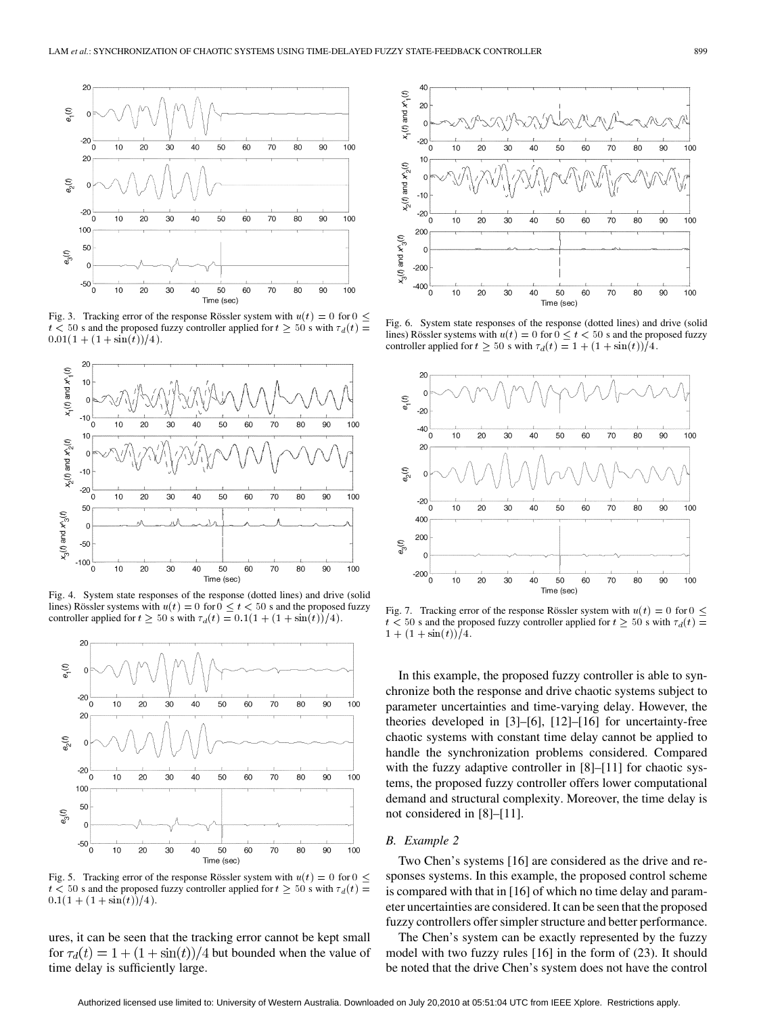

Fig. 3. Tracking error of the response Rössler system with  $u(t) = 0$  for  $0 \le$  $t < 50$  s and the proposed fuzzy controller applied for  $t \geq 50$  s with  $\tau_d(t) =$  $0.01(1 + (1 + \sin(t))/4).$ 



Fig. 4. System state responses of the response (dotted lines) and drive (solid lines) Rössler systems with  $u(t) = 0$  for  $0 \le t < 50$  s and the proposed fuzzy controller applied for  $t \ge 50$  s with  $\tau_d(t) = 0.1(1 + (1 + \sin(t))/4)$ .



Fig. 5. Tracking error of the response Rössler system with  $u(t) = 0$  for  $0 \le$  $t < 50$  s and the proposed fuzzy controller applied for  $t \geq 50$  s with  $\tau_d(t) =$  $0.1(1+(1+\sin(t))/4).$ 

ures, it can be seen that the tracking error cannot be kept small for  $\tau_d(t) = 1 + (1 + \sin(t))/4$  but bounded when the value of time delay is sufficiently large.



Fig. 6. System state responses of the response (dotted lines) and drive (solid lines) Rössler systems with  $u(t) = 0$  for  $0 \le t < 50$  s and the proposed fuzzy controller applied for  $t \ge 50$  s with  $\tau_d(t) = 1 + (1 + \sin(t))/4$ .



Fig. 7. Tracking error of the response Rössler system with  $u(t) = 0$  for  $0 \le$  $t < 50$  s and the proposed fuzzy controller applied for  $t \geq 50$  s with  $\tau_d(t) =$  $1 + (1 + \sin(t))/4$ .

In this example, the proposed fuzzy controller is able to synchronize both the response and drive chaotic systems subject to parameter uncertainties and time-varying delay. However, the theories developed in [3]–[6], [12]–[16] for uncertainty-free chaotic systems with constant time delay cannot be applied to handle the synchronization problems considered. Compared with the fuzzy adaptive controller in [8]–[11] for chaotic systems, the proposed fuzzy controller offers lower computational demand and structural complexity. Moreover, the time delay is not considered in [8]–[11].

## *B. Example 2*

Two Chen's systems [16] are considered as the drive and responses systems. In this example, the proposed control scheme is compared with that in [16] of which no time delay and parameter uncertainties are considered. It can be seen that the proposed fuzzy controllers offer simpler structure and better performance.

The Chen's system can be exactly represented by the fuzzy model with two fuzzy rules [16] in the form of (23). It should be noted that the drive Chen's system does not have the control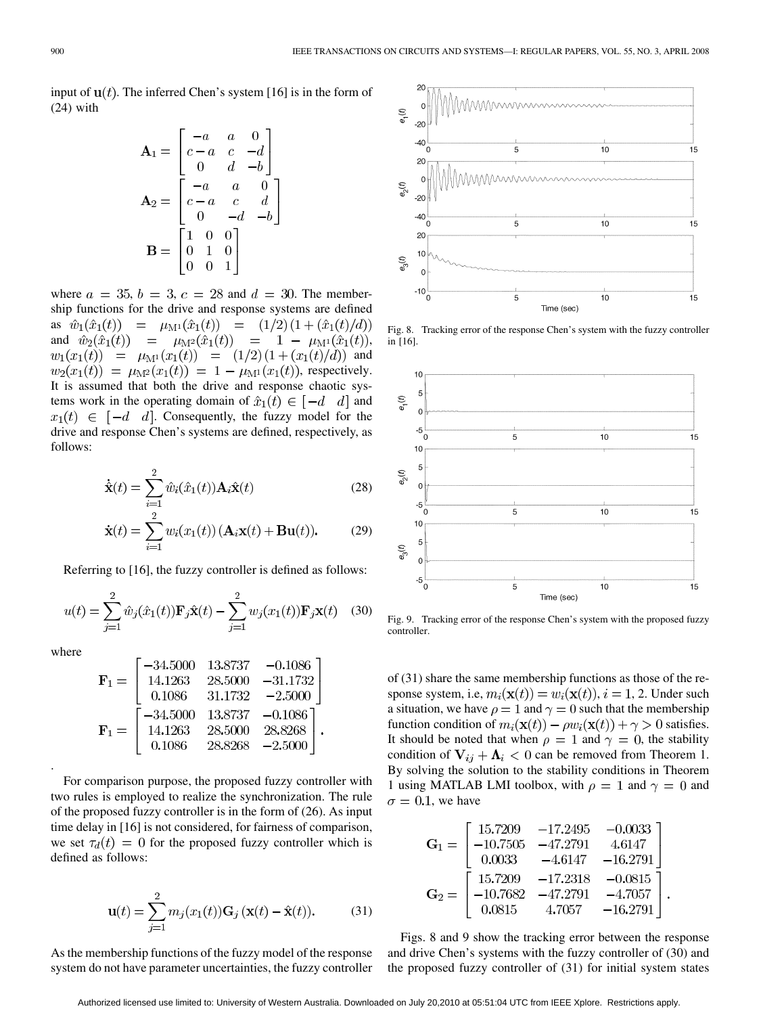input of  $\mathbf{u}(t)$ . The inferred Chen's system [16] is in the form of (24) with

$$
\mathbf{A}_1 = \begin{bmatrix} -a & a & 0 \\ c - a & c & -d \\ 0 & d & -b \end{bmatrix}
$$

$$
\mathbf{A}_2 = \begin{bmatrix} -a & a & 0 \\ c - a & c & d \\ 0 & -d & -b \end{bmatrix}
$$

$$
\mathbf{B} = \begin{bmatrix} 1 & 0 & 0 \\ 0 & 1 & 0 \\ 0 & 0 & 1 \end{bmatrix}
$$

where  $a = 35$ ,  $b = 3$ ,  $c = 28$  and  $d = 30$ . The membership functions for the drive and response systems are defined as  $\hat{w}_1(\hat{x}_1(t)) = \mu_{\mathbf{M}^1}(\hat{x}_1(t)) = (1/2)(1 + (\hat{x}_1(t)/d))$ and  $\hat{w}_2(\hat{x}_1(t)) = \mu_{\mathbf{M}^2}(\hat{x}_1(t)) = 1 - \mu_{\mathbf{M}^1}(\hat{x}_1(t)),$  $w_1(x_1(t)) = \mu_{M^1}(x_1(t)) = (1/2) (1 + (x_1(t)/d))$  and  $w_2(x_1(t)) = \mu_{\mathbf{M}^2}(x_1(t)) = 1 - \mu_{\mathbf{M}^1}(x_1(t))$ , respectively. It is assumed that both the drive and response chaotic systems work in the operating domain of  $\hat{x}_1(t) \in [-d \ d]$  and  $x_1(t) \in [-d \ d]$ . Consequently, the fuzzy model for the drive and response Chen's systems are defined, respectively, as follows:

$$
\dot{\hat{\mathbf{x}}}(t) = \sum_{i=1}^{2} \hat{w}_i(\hat{x}_1(t)) \mathbf{A}_i \hat{\mathbf{x}}(t)
$$
\n(28)

$$
\dot{\mathbf{x}}(t) = \sum_{i=1}^{2} w_i(x_1(t)) \left( \mathbf{A}_i \mathbf{x}(t) + \mathbf{B} \mathbf{u}(t) \right). \tag{29}
$$

Referring to [16], the fuzzy controller is defined as follows:

$$
u(t) = \sum_{j=1}^{2} \hat{w}_j(\hat{x}_1(t)) \mathbf{F}_j \hat{\mathbf{x}}(t) - \sum_{j=1}^{2} w_j(x_1(t)) \mathbf{F}_j \mathbf{x}(t) \quad (30)
$$

where

.

$$
\mathbf{F}_1 = \begin{bmatrix} -34.5000 & 13.8737 & -0.1086 \\ 14.1263 & 28.5000 & -31.1732 \\ 0.1086 & 31.1732 & -2.5000 \end{bmatrix}
$$

$$
\mathbf{F}_1 = \begin{bmatrix} -34.5000 & 13.8737 & -0.1086 \\ 14.1263 & 28.5000 & 28.8268 \\ 0.1086 & 28.8268 & -2.5000 \end{bmatrix}.
$$

For comparison purpose, the proposed fuzzy controller with two rules is employed to realize the synchronization. The rule of the proposed fuzzy controller is in the form of (26). As input time delay in [16] is not considered, for fairness of comparison, we set  $\tau_d(t) = 0$  for the proposed fuzzy controller which is defined as follows:

$$
\mathbf{u}(t) = \sum_{j=1}^{2} m_j(x_1(t))\mathbf{G}_j(\mathbf{x}(t) - \hat{\mathbf{x}}(t)).
$$
 (31)

As the membership functions of the fuzzy model of the response system do not have parameter uncertainties, the fuzzy controller



Fig. 8. Tracking error of the response Chen's system with the fuzzy controller in [16].



Fig. 9. Tracking error of the response Chen's system with the proposed fuzzy controller.

of (31) share the same membership functions as those of the response system, i.e,  $m_i(\mathbf{x}(t)) = w_i(\mathbf{x}(t)), i = 1, 2$ . Under such a situation, we have  $\rho = 1$  and  $\gamma = 0$  such that the membership function condition of  $m_i(\mathbf{x}(t)) - \rho w_i(\mathbf{x}(t)) + \gamma > 0$  satisfies. It should be noted that when  $\rho = 1$  and  $\gamma = 0$ , the stability condition of  $V_{ii} + \Lambda_i < 0$  can be removed from Theorem 1. By solving the solution to the stability conditions in Theorem 1 using MATLAB LMI toolbox, with  $\rho = 1$  and  $\gamma = 0$  and  $\sigma = 0.1$ , we have

$$
\mathbf{G}_1 = \begin{bmatrix} 15.7209 & -17.2495 & -0.0033 \\ -10.7505 & -47.2791 & 4.6147 \\ 0.0033 & -4.6147 & -16.2791 \end{bmatrix}
$$

$$
\mathbf{G}_2 = \begin{bmatrix} 15.7209 & -17.2318 & -0.0815 \\ -10.7682 & -47.2791 & -4.7057 \\ 0.0815 & 4.7057 & -16.2791 \end{bmatrix}
$$

Figs. 8 and 9 show the tracking error between the response and drive Chen's systems with the fuzzy controller of (30) and the proposed fuzzy controller of (31) for initial system states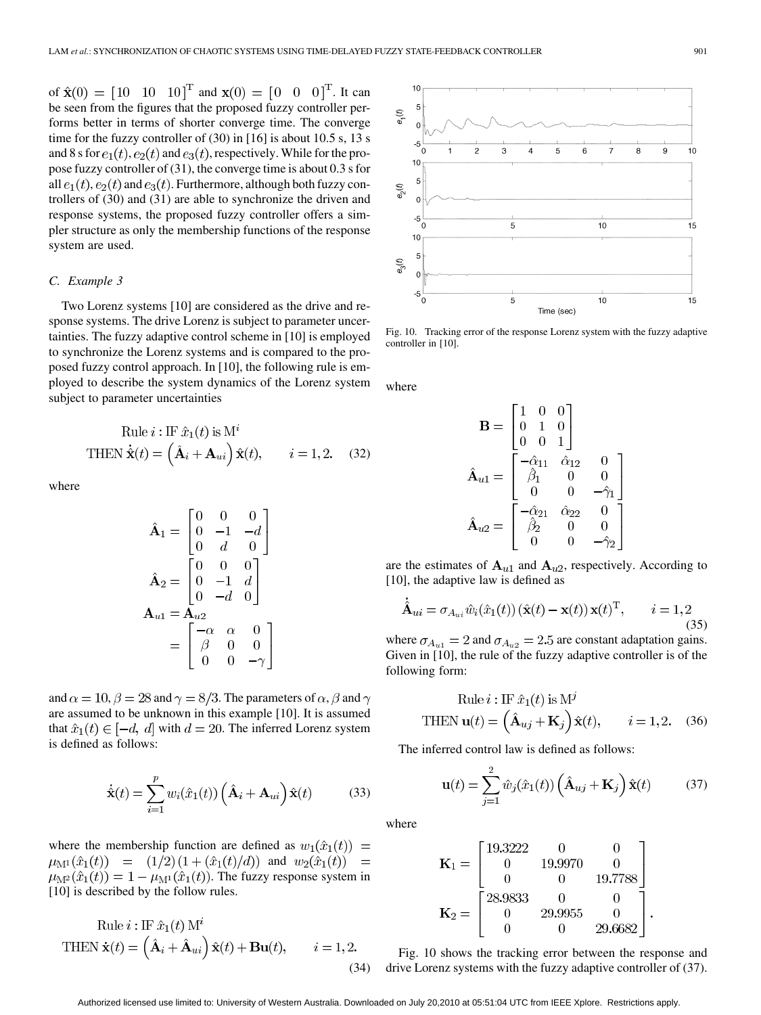of  $\hat{\mathbf{x}}(0) = [10 \ 10 \ 10]^T$  and  $\mathbf{x}(0) = [0 \ 0 \ 0]^T$ . It can be seen from the figures that the proposed fuzzy controller performs better in terms of shorter converge time. The converge time for the fuzzy controller of (30) in [16] is about 10.5 s, 13 s and 8 s for  $e_1(t)$ ,  $e_2(t)$  and  $e_3(t)$ , respectively. While for the propose fuzzy controller of (31), the converge time is about 0.3 s for all  $e_1(t)$ ,  $e_2(t)$  and  $e_3(t)$ . Furthermore, although both fuzzy controllers of (30) and (31) are able to synchronize the driven and response systems, the proposed fuzzy controller offers a simpler structure as only the membership functions of the response system are used.

# *C. Example 3*

Two Lorenz systems [10] are considered as the drive and response systems. The drive Lorenz is subject to parameter uncertainties. The fuzzy adaptive control scheme in [10] is employed to synchronize the Lorenz systems and is compared to the proposed fuzzy control approach. In [10], the following rule is employed to describe the system dynamics of the Lorenz system subject to parameter uncertainties

Rule 
$$
i : \text{IF } \hat{x}_1(t) \text{ is } M^i
$$
  
THEN  $\dot{\hat{\mathbf{x}}}(t) = (\hat{\mathbf{A}}_i + \mathbf{A}_{ui}) \hat{\mathbf{x}}(t), \qquad i = 1, 2.$  (32)

where

$$
\hat{\mathbf{A}}_1 = \begin{bmatrix} 0 & 0 & 0 \\ 0 & -1 & -d \\ 0 & d & 0 \end{bmatrix}
$$

$$
\hat{\mathbf{A}}_2 = \begin{bmatrix} 0 & 0 & 0 \\ 0 & -1 & d \\ 0 & -d & 0 \end{bmatrix}
$$

$$
\mathbf{A}_{u1} = \mathbf{A}_{u2}
$$

$$
= \begin{bmatrix} -\alpha & \alpha & 0 \\ \beta & 0 & 0 \\ 0 & 0 & -\gamma \end{bmatrix}
$$

and  $\alpha = 10$ ,  $\beta = 28$  and  $\gamma = 8/3$ . The parameters of  $\alpha$ ,  $\beta$  and  $\gamma$ are assumed to be unknown in this example [10]. It is assumed that  $\hat{x}_1(t) \in [-d, d]$  with  $d = 20$ . The inferred Lorenz system is defined as follows:

$$
\dot{\hat{\mathbf{x}}}(t) = \sum_{i=1}^{p} w_i(\hat{x}_1(t)) \left( \hat{\mathbf{A}}_i + \mathbf{A}_{ui} \right) \hat{\mathbf{x}}(t) \tag{33}
$$

where the membership function are defined as  $w_1(\hat{x}_1(t)) =$  $\mu_{\mathbf{M}^{1}}(\hat{x}_{1}(t)) = (1/2)(1+(\hat{x}_{1}(t)/d))$  and  $w_{2}(\hat{x}_{1}(t)) =$  $\mu_{\mathbf{M}^2}(\hat{x}_1(t)) = 1 - \mu_{\mathbf{M}^1}(\hat{x}_1(t))$ . The fuzzy response system in [10] is described by the follow rules.

Rule 
$$
i : \text{IF } \hat{x}_1(t) \text{ M}^i
$$
  
THEN  $\dot{\mathbf{x}}(t) = (\hat{\mathbf{A}}_i + \hat{\mathbf{A}}_{ui}) \hat{\mathbf{x}}(t) + \mathbf{B}\mathbf{u}(t), \qquad i = 1, 2.$  (34)



Fig. 10. Tracking error of the response Lorenz system with the fuzzy adaptive controller in [10].

where

$$
\mathbf{B} = \begin{bmatrix} 1 & 0 & 0 \\ 0 & 1 & 0 \\ 0 & 0 & 1 \end{bmatrix}
$$

$$
\hat{\mathbf{A}}_{u1} = \begin{bmatrix} -\hat{\alpha}_{11} & \hat{\alpha}_{12} & 0 \\ \hat{\beta}_1 & 0 & 0 \\ 0 & 0 & -\hat{\gamma}_1 \end{bmatrix}
$$

$$
\hat{\mathbf{A}}_{u2} = \begin{bmatrix} -\hat{\alpha}_{21} & \hat{\alpha}_{22} & 0 \\ \hat{\beta}_2 & 0 & 0 \\ 0 & 0 & -\hat{\gamma}_2 \end{bmatrix}
$$

are the estimates of  $A_{u1}$  and  $A_{u2}$ , respectively. According to [10], the adaptive law is defined as

$$
\dot{\hat{\mathbf{A}}}_{ui} = \sigma_{A_{ui}} \hat{w}_i(\hat{x}_1(t)) (\hat{\mathbf{x}}(t) - \mathbf{x}(t)) \mathbf{x}(t)^{\mathrm{T}}, \qquad i = 1, 2
$$
\n(35)

where  $\sigma_{A_{u1}} = 2$  and  $\sigma_{A_{u2}} = 2.5$  are constant adaptation gains. Given in [10], the rule of the fuzzy adaptive controller is of the following form:

Rule 
$$
i : \text{IF } \hat{x}_1(t) \text{ is } \text{M}^j
$$
  
THEN  $\mathbf{u}(t) = (\hat{\mathbf{A}}_{uj} + \mathbf{K}_j) \hat{\mathbf{x}}(t), \qquad i = 1, 2.$  (36)

The inferred control law is defined as follows:

$$
\mathbf{u}(t) = \sum_{j=1}^{2} \hat{w}_j(\hat{x}_1(t)) \left( \hat{\mathbf{A}}_{uj} + \mathbf{K}_j \right) \hat{\mathbf{x}}(t) \quad (37)
$$

where

$$
\mathbf{K}_1 = \begin{bmatrix} 19.3222 & 0 & 0 \\ 0 & 19.9970 & 0 \\ 0 & 0 & 19.7788 \end{bmatrix}
$$

$$
\mathbf{K}_2 = \begin{bmatrix} 28.9833 & 0 & 0 \\ 0 & 29.9955 & 0 \\ 0 & 0 & 29.6682 \end{bmatrix}
$$

Fig. 10 shows the tracking error between the response and drive Lorenz systems with the fuzzy adaptive controller of (37).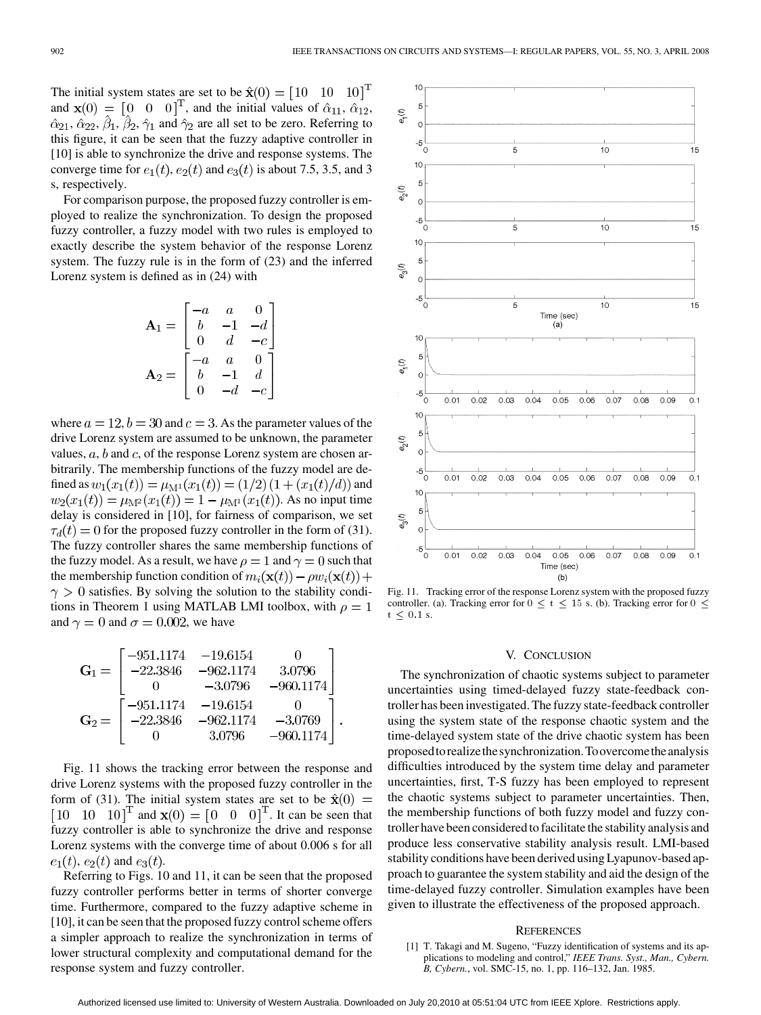The initial system states are set to be  $\hat{\mathbf{x}}(0) = \begin{bmatrix} 10 & 10 & 10 \end{bmatrix}^T$ and  $\mathbf{x}(0) = \begin{bmatrix} 0 & 0 & 0 \end{bmatrix}^T$ , and the initial values of  $\hat{\alpha}_{11}, \hat{\alpha}_{12},$  $\hat{\alpha}_{21}, \hat{\alpha}_{22}, \hat{\beta}_1, \hat{\beta}_2, \hat{\gamma}_1$  and  $\hat{\gamma}_2$  are all set to be zero. Referring to this figure, it can be seen that the fuzzy adaptive controller in [10] is able to synchronize the drive and response systems. The converge time for  $e_1(t)$ ,  $e_2(t)$  and  $e_3(t)$  is about 7.5, 3.5, and 3 s, respectively.

For comparison purpose, the proposed fuzzy controller is employed to realize the synchronization. To design the proposed fuzzy controller, a fuzzy model with two rules is employed to exactly describe the system behavior of the response Lorenz system. The fuzzy rule is in the form of (23) and the inferred Lorenz system is defined as in (24) with

$$
\mathbf{A}_1 = \begin{bmatrix} -a & a & 0 \\ b & -1 & -d \\ 0 & d & -c \end{bmatrix}
$$

$$
\mathbf{A}_2 = \begin{bmatrix} -a & a & 0 \\ b & -1 & d \\ 0 & -d & -c \end{bmatrix}
$$

where  $a = 12$ ,  $b = 30$  and  $c = 3$ . As the parameter values of the drive Lorenz system are assumed to be unknown, the parameter values,  $a, b$  and c, of the response Lorenz system are chosen arbitrarily. The membership functions of the fuzzy model are defined as  $w_1(x_1(t)) = \mu_{M^1}(x_1(t)) = (1/2)(1 + (x_1(t)/d))$  and  $w_2(x_1(t)) = \mu_{\mathbf{M}^2}(x_1(t)) = 1 - \mu_{\mathbf{M}^1}(x_1(t))$ . As no input time delay is considered in [10], for fairness of comparison, we set  $\tau_d(t) = 0$  for the proposed fuzzy controller in the form of (31). The fuzzy controller shares the same membership functions of the fuzzy model. As a result, we have  $\rho = 1$  and  $\gamma = 0$  such that the membership function condition of  $m_i(\mathbf{x}(t)) - \rho w_i(\mathbf{x}(t)) +$  $\gamma > 0$  satisfies. By solving the solution to the stability conditions in Theorem 1 using MATLAB LMI toolbox, with  $\rho = 1$ and  $\gamma = 0$  and  $\sigma = 0.002$ , we have

$$
\mathbf{G}_1 = \begin{bmatrix} -951.1174 & -19.6154 & 0 \\ -22.3846 & -962.1174 & 3.0796 \\ 0 & -3.0796 & -960.1174 \end{bmatrix}
$$

$$
\mathbf{G}_2 = \begin{bmatrix} -951.1174 & -19.6154 & 0 \\ -22.3846 & -962.1174 & -3.0769 \\ 0 & 3.0796 & -960.1174 \end{bmatrix}.
$$

Fig. 11 shows the tracking error between the response and drive Lorenz systems with the proposed fuzzy controller in the form of (31). The initial system states are set to be  $\hat{\mathbf{x}}(0) =$  $[10 \ 10 \ 10]^T$  and  $\mathbf{x}(0) = [0 \ 0 \ 0]^T$ . It can be seen that fuzzy controller is able to synchronize the drive and response Lorenz systems with the converge time of about 0.006 s for all  $e_1(t)$ ,  $e_2(t)$  and  $e_3(t)$ .

Referring to Figs. 10 and 11, it can be seen that the proposed fuzzy controller performs better in terms of shorter converge time. Furthermore, compared to the fuzzy adaptive scheme in [10], it can be seen that the proposed fuzzy control scheme offers a simpler approach to realize the synchronization in terms of lower structural complexity and computational demand for the response system and fuzzy controller.



Fig. 11. Tracking error of the response Lorenz system with the proposed fuzzy controller. (a). Tracking error for  $0 \le t \le 15$  s. (b). Tracking error for  $0 \le$  $t \leq 0.1$  s.

#### V. CONCLUSION

The synchronization of chaotic systems subject to parameter uncertainties using timed-delayed fuzzy state-feedback controller has been investigated. The fuzzy state-feedback controller using the system state of the response chaotic system and the time-delayed system state of the drive chaotic system has been proposedtorealizethesynchronization.Toovercometheanalysis difficulties introduced by the system time delay and parameter uncertainties, first, T-S fuzzy has been employed to represent the chaotic systems subject to parameter uncertainties. Then, the membership functions of both fuzzy model and fuzzy controller have been considered to facilitate the stability analysis and produce less conservative stability analysis result. LMI-based stability conditions have been derived using Lyapunov-based approach to guarantee the system stability and aid the design of the time-delayed fuzzy controller. Simulation examples have been given to illustrate the effectiveness of the proposed approach.

#### **REFERENCES**

[1] T. Takagi and M. Sugeno, "Fuzzy identification of systems and its applications to modeling and control," *IEEE Trans. Syst., Man., Cybern. B, Cybern.*, vol. SMC-15, no. 1, pp. 116–132, Jan. 1985.